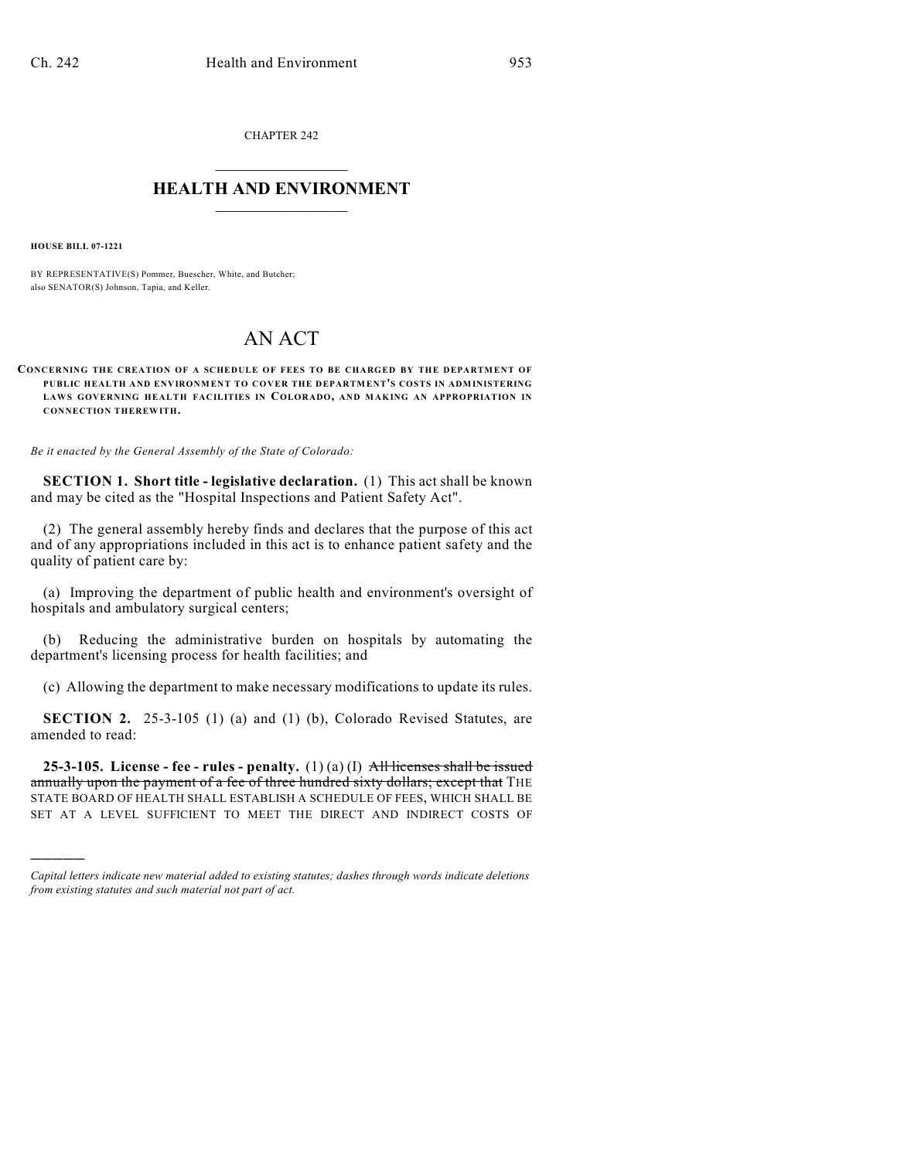CHAPTER 242  $\overline{\phantom{a}}$  . The set of the set of the set of the set of the set of the set of the set of the set of the set of the set of the set of the set of the set of the set of the set of the set of the set of the set of the set o

## **HEALTH AND ENVIRONMENT**  $\_$

**HOUSE BILL 07-1221**

)))))

BY REPRESENTATIVE(S) Pommer, Buescher, White, and Butcher; also SENATOR(S) Johnson, Tapia, and Keller.

## AN ACT

**CONCERNING THE CREATION OF A SCHEDULE OF FEES TO BE CHARGED BY THE DEPARTMENT OF PUBLIC HEALTH AND ENVIRONMENT TO COVER THE DEPARTMENT'S COSTS IN ADMINISTERING LAWS GOVERNING HEALTH FACILITIES IN COLORADO, AND MAKING AN APPROPRIATION IN CONNECTION THEREWITH.**

*Be it enacted by the General Assembly of the State of Colorado:*

**SECTION 1. Short title - legislative declaration.** (1) This act shall be known and may be cited as the "Hospital Inspections and Patient Safety Act".

(2) The general assembly hereby finds and declares that the purpose of this act and of any appropriations included in this act is to enhance patient safety and the quality of patient care by:

(a) Improving the department of public health and environment's oversight of hospitals and ambulatory surgical centers;

(b) Reducing the administrative burden on hospitals by automating the department's licensing process for health facilities; and

(c) Allowing the department to make necessary modifications to update its rules.

**SECTION 2.** 25-3-105 (1) (a) and (1) (b), Colorado Revised Statutes, are amended to read:

**25-3-105. License - fee - rules - penalty.** (1) (a) (I) All licenses shall be issued annually upon the payment of a fee of three hundred sixty dollars; except that THE STATE BOARD OF HEALTH SHALL ESTABLISH A SCHEDULE OF FEES, WHICH SHALL BE SET AT A LEVEL SUFFICIENT TO MEET THE DIRECT AND INDIRECT COSTS OF

*Capital letters indicate new material added to existing statutes; dashes through words indicate deletions from existing statutes and such material not part of act.*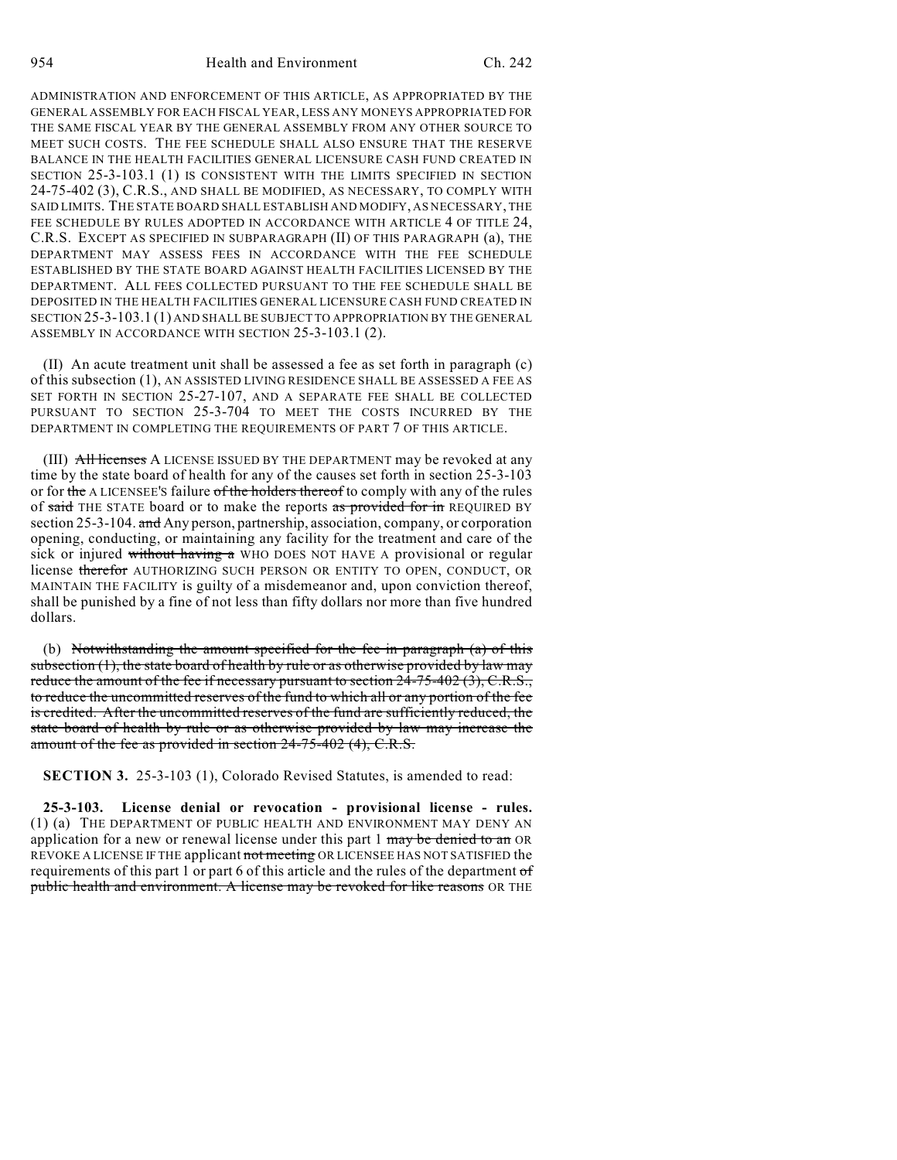ADMINISTRATION AND ENFORCEMENT OF THIS ARTICLE, AS APPROPRIATED BY THE GENERAL ASSEMBLY FOR EACH FISCAL YEAR, LESS ANY MONEYS APPROPRIATED FOR THE SAME FISCAL YEAR BY THE GENERAL ASSEMBLY FROM ANY OTHER SOURCE TO MEET SUCH COSTS. THE FEE SCHEDULE SHALL ALSO ENSURE THAT THE RESERVE BALANCE IN THE HEALTH FACILITIES GENERAL LICENSURE CASH FUND CREATED IN SECTION 25-3-103.1 (1) IS CONSISTENT WITH THE LIMITS SPECIFIED IN SECTION 24-75-402 (3), C.R.S., AND SHALL BE MODIFIED, AS NECESSARY, TO COMPLY WITH SAID LIMITS. THE STATE BOARD SHALL ESTABLISH AND MODIFY, AS NECESSARY, THE FEE SCHEDULE BY RULES ADOPTED IN ACCORDANCE WITH ARTICLE 4 OF TITLE 24, C.R.S. EXCEPT AS SPECIFIED IN SUBPARAGRAPH (II) OF THIS PARAGRAPH (a), THE DEPARTMENT MAY ASSESS FEES IN ACCORDANCE WITH THE FEE SCHEDULE ESTABLISHED BY THE STATE BOARD AGAINST HEALTH FACILITIES LICENSED BY THE DEPARTMENT. ALL FEES COLLECTED PURSUANT TO THE FEE SCHEDULE SHALL BE DEPOSITED IN THE HEALTH FACILITIES GENERAL LICENSURE CASH FUND CREATED IN SECTION 25-3-103.1 (1) AND SHALL BE SUBJECT TO APPROPRIATION BY THE GENERAL ASSEMBLY IN ACCORDANCE WITH SECTION 25-3-103.1 (2).

(II) An acute treatment unit shall be assessed a fee as set forth in paragraph (c) of this subsection (1), AN ASSISTED LIVING RESIDENCE SHALL BE ASSESSED A FEE AS SET FORTH IN SECTION 25-27-107, AND A SEPARATE FEE SHALL BE COLLECTED PURSUANT TO SECTION 25-3-704 TO MEET THE COSTS INCURRED BY THE DEPARTMENT IN COMPLETING THE REQUIREMENTS OF PART 7 OF THIS ARTICLE.

(III) All licenses A LICENSE ISSUED BY THE DEPARTMENT may be revoked at any time by the state board of health for any of the causes set forth in section 25-3-103 or for the A LICENSEE's failure of the holders thereof to comply with any of the rules of said THE STATE board or to make the reports as provided for in REQUIRED BY section 25-3-104. and Any person, partnership, association, company, or corporation opening, conducting, or maintaining any facility for the treatment and care of the sick or injured without having a WHO DOES NOT HAVE A provisional or regular license therefor AUTHORIZING SUCH PERSON OR ENTITY TO OPEN, CONDUCT, OR MAINTAIN THE FACILITY is guilty of a misdemeanor and, upon conviction thereof, shall be punished by a fine of not less than fifty dollars nor more than five hundred dollars.

(b) Notwithstanding the amount specified for the fee in paragraph (a) of this subsection  $(1)$ , the state board of health by rule or as otherwise provided by law may reduce the amount of the fee if necessary pursuant to section  $2\overline{4}$ -75-402 (3), C.R.S., to reduce the uncommitted reserves of the fund to which all or any portion of the fee is credited. After the uncommitted reserves of the fund are sufficiently reduced, the state board of health by rule or as otherwise provided by law may increase the amount of the fee as provided in section 24-75-402 (4), C.R.S.

**SECTION 3.** 25-3-103 (1), Colorado Revised Statutes, is amended to read:

**25-3-103. License denial or revocation - provisional license - rules.** (1) (a) THE DEPARTMENT OF PUBLIC HEALTH AND ENVIRONMENT MAY DENY AN application for a new or renewal license under this part 1 may be denied to an OR REVOKE A LICENSE IF THE applicant not meeting OR LICENSEE HAS NOT SATISFIED the requirements of this part 1 or part 6 of this article and the rules of the department of public health and environment. A license may be revoked for like reasons OR THE